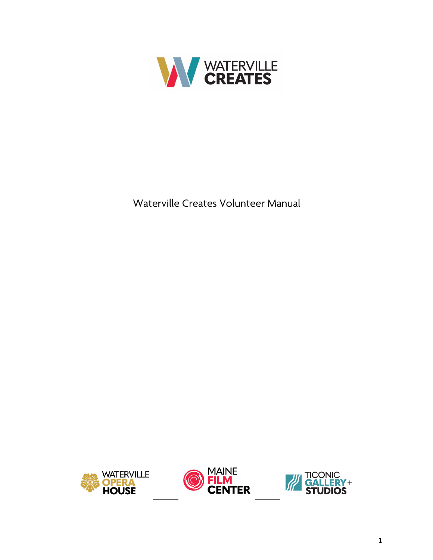

Waterville Creates Volunteer Manual

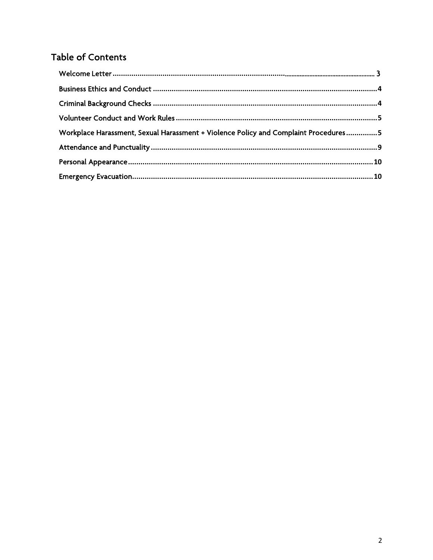# Table of Contents

| Workplace Harassment, Sexual Harassment + Violence Policy and Complaint Procedures5 |  |
|-------------------------------------------------------------------------------------|--|
|                                                                                     |  |
|                                                                                     |  |
|                                                                                     |  |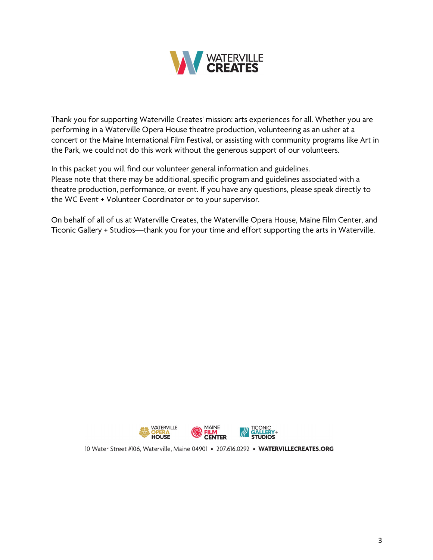

Thank you for supporting Waterville Creates' mission: arts experiences for all. Whether you are performing in a Waterville Opera House theatre production, volunteering as an usher at a concert or the Maine International Film Festival, or assisting with community programs like Art in the Park, we could not do this work without the generous support of our volunteers.

In this packet you will find our volunteer general information and guidelines. Please note that there may be additional, specific program and guidelines associated with a theatre production, performance, or event. If you have any questions, please speak directly to the WC Event + Volunteer Coordinator or to your supervisor.

On behalf of all of us at Waterville Creates, the Waterville Opera House, Maine Film Center, and Ticonic Gallery + Studios—thank you for your time and effort supporting the arts in Waterville.



10 Water Street #106, Waterville, Maine 04901 • 207.616.0292 • WATERVILLECREATES.ORG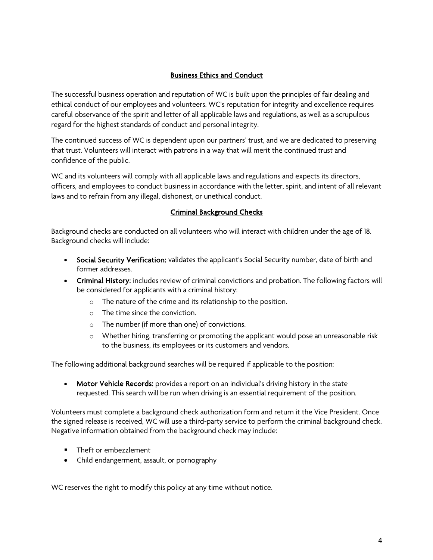# Business Ethics and Conduct

The successful business operation and reputation of WC is built upon the principles of fair dealing and ethical conduct of our employees and volunteers. WC's reputation for integrity and excellence requires careful observance of the spirit and letter of all applicable laws and regulations, as well as a scrupulous regard for the highest standards of conduct and personal integrity.

The continued success of WC is dependent upon our partners' trust, and we are dedicated to preserving that trust. Volunteers will interact with patrons in a way that will merit the continued trust and confidence of the public.

WC and its volunteers will comply with all applicable laws and regulations and expects its directors, officers, and employees to conduct business in accordance with the letter, spirit, and intent of all relevant laws and to refrain from any illegal, dishonest, or unethical conduct.

# Criminal Background Checks

Background checks are conducted on all volunteers who will interact with children under the age of 18. Background checks will include:

- Social Security Verification: validates the applicant's Social Security number, date of birth and former addresses.
- Criminal History: includes review of criminal convictions and probation. The following factors will be considered for applicants with a criminal history:
	- o The nature of the crime and its relationship to the position.
	- o The time since the conviction.
	- o The number (if more than one) of convictions.
	- o Whether hiring, transferring or promoting the applicant would pose an unreasonable risk to the business, its employees or its customers and vendors.

The following additional background searches will be required if applicable to the position:

• Motor Vehicle Records: provides a report on an individual's driving history in the state requested. This search will be run when driving is an essential requirement of the position.

Volunteers must complete a background check authorization form and return it the Vice President. Once the signed release is received, WC will use a third-party service to perform the criminal background check. Negative information obtained from the background check may include:

- Theft or embezzlement
- Child endangerment, assault, or pornography

WC reserves the right to modify this policy at any time without notice.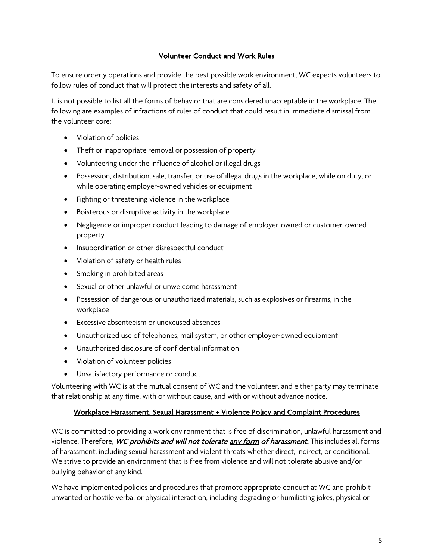# Volunteer Conduct and Work Rules

To ensure orderly operations and provide the best possible work environment, WC expects volunteers to follow rules of conduct that will protect the interests and safety of all.

It is not possible to list all the forms of behavior that are considered unacceptable in the workplace. The following are examples of infractions of rules of conduct that could result in immediate dismissal from the volunteer core:

- Violation of policies
- Theft or inappropriate removal or possession of property
- Volunteering under the influence of alcohol or illegal drugs
- Possession, distribution, sale, transfer, or use of illegal drugs in the workplace, while on duty, or while operating employer-owned vehicles or equipment
- Fighting or threatening violence in the workplace
- Boisterous or disruptive activity in the workplace
- Negligence or improper conduct leading to damage of employer-owned or customer-owned property
- Insubordination or other disrespectful conduct
- Violation of safety or health rules
- Smoking in prohibited areas
- Sexual or other unlawful or unwelcome harassment
- Possession of dangerous or unauthorized materials, such as explosives or firearms, in the workplace
- Excessive absenteeism or unexcused absences
- Unauthorized use of telephones, mail system, or other employer-owned equipment
- Unauthorized disclosure of confidential information
- Violation of volunteer policies
- Unsatisfactory performance or conduct

Volunteering with WC is at the mutual consent of WC and the volunteer, and either party may terminate that relationship at any time, with or without cause, and with or without advance notice.

## Workplace Harassment, Sexual Harassment + Violence Policy and Complaint Procedures

WC is committed to providing a work environment that is free of discrimination, unlawful harassment and violence. Therefore, WC prohibits and will not tolerate any form of harassment. This includes all forms of harassment, including sexual harassment and violent threats whether direct, indirect, or conditional. We strive to provide an environment that is free from violence and will not tolerate abusive and/or bullying behavior of any kind.

We have implemented policies and procedures that promote appropriate conduct at WC and prohibit unwanted or hostile verbal or physical interaction, including degrading or humiliating jokes, physical or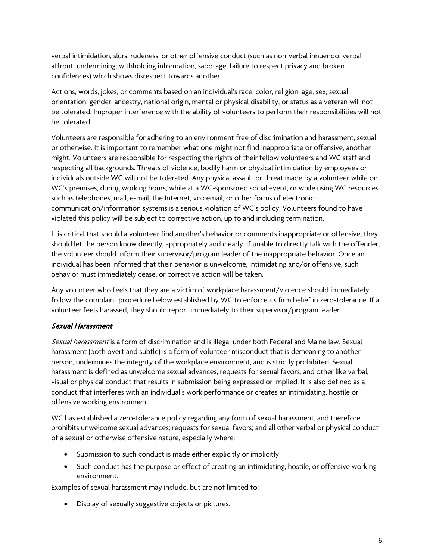verbal intimidation, slurs, rudeness, or other offensive conduct (such as non-verbal innuendo, verbal affront, undermining, withholding information, sabotage, failure to respect privacy and broken confidences) which shows disrespect towards another.

Actions, words, jokes, or comments based on an individual's race, color, religion, age, sex, sexual orientation, gender, ancestry, national origin, mental or physical disability, or status as a veteran will not be tolerated. Improper interference with the ability of volunteers to perform their responsibilities will not be tolerated.

Volunteers are responsible for adhering to an environment free of discrimination and harassment, sexual or otherwise. It is important to remember what one might not find inappropriate or offensive, another might. Volunteers are responsible for respecting the rights of their fellow volunteers and WC staff and respecting all backgrounds. Threats of violence, bodily harm or physical intimidation by employees or individuals outside WC will not be tolerated. Any physical assault or threat made by a volunteer while on WC's premises, during working hours, while at a WC-sponsored social event, or while using WC resources such as telephones, mail, e-mail, the Internet, voicemail, or other forms of electronic communication/information systems is a serious violation of WC's policy. Volunteers found to have violated this policy will be subject to corrective action, up to and including termination.

It is critical that should a volunteer find another's behavior or comments inappropriate or offensive, they should let the person know directly, appropriately and clearly. If unable to directly talk with the offender, the volunteer should inform their supervisor/program leader of the inappropriate behavior. Once an individual has been informed that their behavior is unwelcome, intimidating and/or offensive, such behavior must immediately cease, or corrective action will be taken.

Any volunteer who feels that they are a victim of workplace harassment/violence should immediately follow the complaint procedure below established by WC to enforce its firm belief in zero-tolerance. If a volunteer feels harassed, they should report immediately to their supervisor/program leader.

## Sexual Harassment

Sexual harassment is a form of discrimination and is illegal under both Federal and Maine law. Sexual harassment (both overt and subtle) is a form of volunteer misconduct that is demeaning to another person, undermines the integrity of the workplace environment, and is strictly prohibited. Sexual harassment is defined as unwelcome sexual advances, requests for sexual favors, and other like verbal, visual or physical conduct that results in submission being expressed or implied. It is also defined as a conduct that interferes with an individual's work performance or creates an intimidating, hostile or offensive working environment.

WC has established a zero-tolerance policy regarding any form of sexual harassment, and therefore prohibits unwelcome sexual advances; requests for sexual favors; and all other verbal or physical conduct of a sexual or otherwise offensive nature, especially where:

- Submission to such conduct is made either explicitly or implicitly
- Such conduct has the purpose or effect of creating an intimidating, hostile, or offensive working environment.

Examples of sexual harassment may include, but are not limited to:

• Display of sexually suggestive objects or pictures.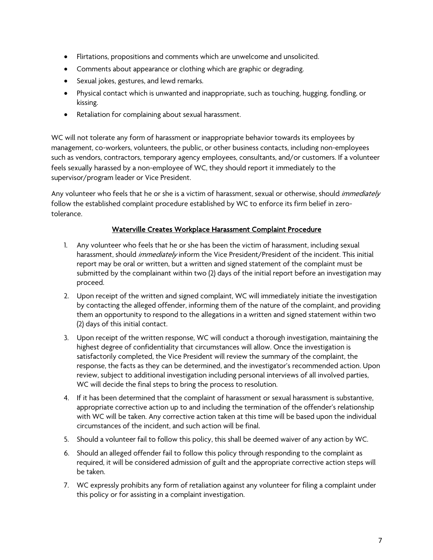- Flirtations, propositions and comments which are unwelcome and unsolicited.
- Comments about appearance or clothing which are graphic or degrading.
- Sexual jokes, gestures, and lewd remarks.
- Physical contact which is unwanted and inappropriate, such as touching, hugging, fondling, or kissing.
- Retaliation for complaining about sexual harassment.

WC will not tolerate any form of harassment or inappropriate behavior towards its employees by management, co-workers, volunteers, the public, or other business contacts, including non-employees such as vendors, contractors, temporary agency employees, consultants, and/or customers. If a volunteer feels sexually harassed by a non-employee of WC, they should report it immediately to the supervisor/program leader or Vice President.

Any volunteer who feels that he or she is a victim of harassment, sexual or otherwise, should immediately follow the established complaint procedure established by WC to enforce its firm belief in zerotolerance.

# Waterville Creates Workplace Harassment Complaint Procedure

- 1. Any volunteer who feels that he or she has been the victim of harassment, including sexual harassment, should *immediately* inform the Vice President/President of the incident. This initial report may be oral or written, but a written and signed statement of the complaint must be submitted by the complainant within two (2) days of the initial report before an investigation may proceed.
- 2. Upon receipt of the written and signed complaint, WC will immediately initiate the investigation by contacting the alleged offender, informing them of the nature of the complaint, and providing them an opportunity to respond to the allegations in a written and signed statement within two (2) days of this initial contact.
- 3. Upon receipt of the written response, WC will conduct a thorough investigation, maintaining the highest degree of confidentiality that circumstances will allow. Once the investigation is satisfactorily completed, the Vice President will review the summary of the complaint, the response, the facts as they can be determined, and the investigator's recommended action. Upon review, subject to additional investigation including personal interviews of all involved parties, WC will decide the final steps to bring the process to resolution.
- 4. If it has been determined that the complaint of harassment or sexual harassment is substantive, appropriate corrective action up to and including the termination of the offender's relationship with WC will be taken. Any corrective action taken at this time will be based upon the individual circumstances of the incident, and such action will be final.
- 5. Should a volunteer fail to follow this policy, this shall be deemed waiver of any action by WC.
- 6. Should an alleged offender fail to follow this policy through responding to the complaint as required, it will be considered admission of guilt and the appropriate corrective action steps will be taken.
- 7. WC expressly prohibits any form of retaliation against any volunteer for filing a complaint under this policy or for assisting in a complaint investigation.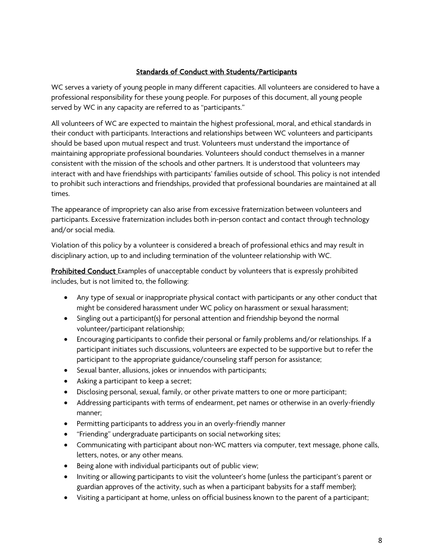## Standards of Conduct with Students/Participants

WC serves a variety of young people in many different capacities. All volunteers are considered to have a professional responsibility for these young people. For purposes of this document, all young people served by WC in any capacity are referred to as "participants."

All volunteers of WC are expected to maintain the highest professional, moral, and ethical standards in their conduct with participants. Interactions and relationships between WC volunteers and participants should be based upon mutual respect and trust. Volunteers must understand the importance of maintaining appropriate professional boundaries. Volunteers should conduct themselves in a manner consistent with the mission of the schools and other partners. It is understood that volunteers may interact with and have friendships with participants' families outside of school. This policy is not intended to prohibit such interactions and friendships, provided that professional boundaries are maintained at all times.

The appearance of impropriety can also arise from excessive fraternization between volunteers and participants. Excessive fraternization includes both in-person contact and contact through technology and/or social media.

Violation of this policy by a volunteer is considered a breach of professional ethics and may result in disciplinary action, up to and including termination of the volunteer relationship with WC.

**Prohibited Conduct** Examples of unacceptable conduct by volunteers that is expressly prohibited includes, but is not limited to, the following:

- Any type of sexual or inappropriate physical contact with participants or any other conduct that might be considered harassment under WC policy on harassment or sexual harassment;
- Singling out a participant(s) for personal attention and friendship beyond the normal volunteer/participant relationship;
- Encouraging participants to confide their personal or family problems and/or relationships. If a participant initiates such discussions, volunteers are expected to be supportive but to refer the participant to the appropriate guidance/counseling staff person for assistance;
- Sexual banter, allusions, jokes or innuendos with participants;
- Asking a participant to keep a secret;
- Disclosing personal, sexual, family, or other private matters to one or more participant;
- Addressing participants with terms of endearment, pet names or otherwise in an overly-friendly manner;
- Permitting participants to address you in an overly-friendly manner
- "Friending" undergraduate participants on social networking sites;
- Communicating with participant about non-WC matters via computer, text message, phone calls, letters, notes, or any other means.
- Being alone with individual participants out of public view;
- Inviting or allowing participants to visit the volunteer's home (unless the participant's parent or guardian approves of the activity, such as when a participant babysits for a staff member);
- Visiting a participant at home, unless on official business known to the parent of a participant;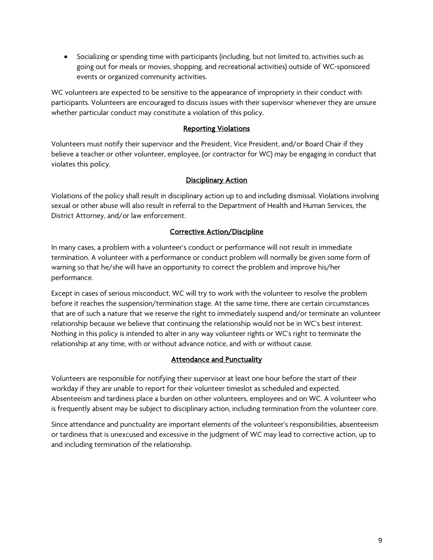• Socializing or spending time with participants (including, but not limited to, activities such as going out for meals or movies, shopping, and recreational activities) outside of WC-sponsored events or organized community activities.

WC volunteers are expected to be sensitive to the appearance of impropriety in their conduct with participants. Volunteers are encouraged to discuss issues with their supervisor whenever they are unsure whether particular conduct may constitute a violation of this policy.

#### Reporting Violations

Volunteers must notify their supervisor and the President, Vice President, and/or Board Chair if they believe a teacher or other volunteer, employee, (or contractor for WC) may be engaging in conduct that violates this policy.

## Disciplinary Action

Violations of the policy shall result in disciplinary action up to and including dismissal. Violations involving sexual or other abuse will also result in referral to the Department of Health and Human Services, the District Attorney, and/or law enforcement.

#### Corrective Action/Discipline

In many cases, a problem with a volunteer's conduct or performance will not result in immediate termination. A volunteer with a performance or conduct problem will normally be given some form of warning so that he/she will have an opportunity to correct the problem and improve his/her performance.

Except in cases of serious misconduct, WC will try to work with the volunteer to resolve the problem before it reaches the suspension/termination stage. At the same time, there are certain circumstances that are of such a nature that we reserve the right to immediately suspend and/or terminate an volunteer relationship because we believe that continuing the relationship would not be in WC's best interest. Nothing in this policy is intended to alter in any way volunteer rights or WC's right to terminate the relationship at any time, with or without advance notice, and with or without cause.

## Attendance and Punctuality

Volunteers are responsible for notifying their supervisor at least one hour before the start of their workday if they are unable to report for their volunteer timeslot as scheduled and expected. Absenteeism and tardiness place a burden on other volunteers, employees and on WC. A volunteer who is frequently absent may be subject to disciplinary action, including termination from the volunteer core.

Since attendance and punctuality are important elements of the volunteer's responsibilities, absenteeism or tardiness that is unexcused and excessive in the judgment of WC may lead to corrective action, up to and including termination of the relationship.